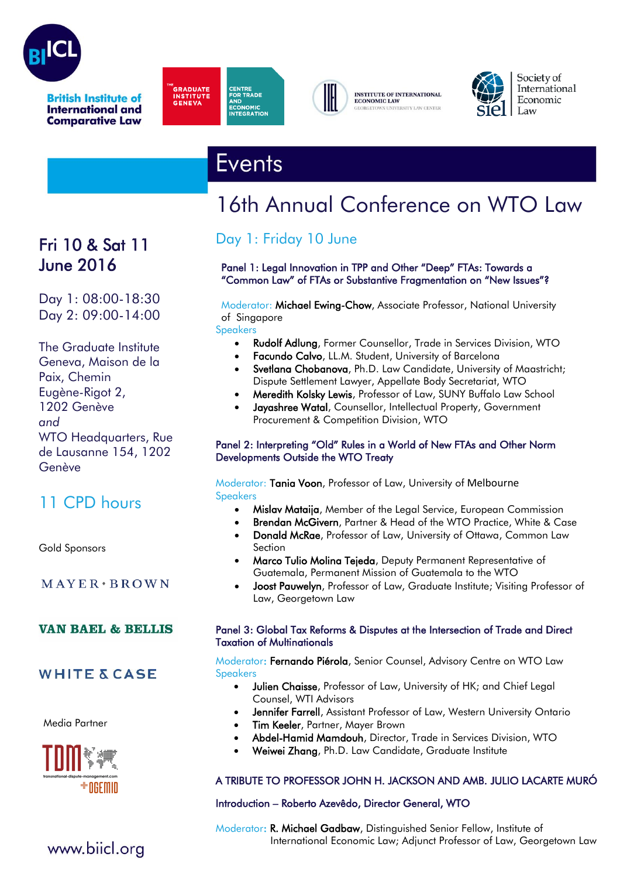

**International and Comparative Law** 





**INSTITUTE OF INTERNATIONAL ECONOMIC LAW** . .<br>VERSITY LAW CENTER



Society of International Economic  $\vert$  Law

# **Events**

# 16th Annual Conference on WTO Law

# Fri 10 & Sat 11 June 2016

Day 1: 08:00-18:30 Day 2: 09:00-14:00

The Graduate Institute Geneva, Maison de la Paix, Chemin Eugène-Rigot 2, 1202 Genève *and* WTO Headquarters, Rue de Lausanne 154, 1202 Genève

# 11 CPD hours

Gold Sponsors

 $MAYER*BROWN$ 

#### **VAN BAEL & BELLIS**

#### **WHITE & CASE**

Media Partner



## Day 1: Friday 10 June

#### Panel 1: Legal Innovation in TPP and Other "Deep" FTAs: Towards a "Common Law" of FTAs or Substantive Fragmentation on "New Issues"?

#### Moderator: Michael Ewing-Chow, Associate Professor, National University of Singapore

Speakers

- Rudolf Adlung, Former Counsellor, Trade in Services Division, WTO
- Facundo Calvo, LL.M. Student, University of Barcelona
- Svetlana Chobanova, Ph.D. Law Candidate, University of Maastricht; Dispute Settlement Lawyer, Appellate Body Secretariat, WTO
- Meredith Kolsky Lewis, Professor of Law, SUNY Buffalo Law School
- Jayashree Watal, Counsellor, Intellectual Property, Government Procurement & Competition Division, WTO

#### Panel 2: Interpreting "Old" Rules in a World of New FTAs and Other Norm Developments Outside the WTO Treaty

Moderator: Tania Voon, Professor of Law, University of Melbourne Speakers

- Mislav Mataija, Member of the Legal Service, European Commission
- Brendan McGivern, Partner & Head of the WTO Practice, White & Case
- Donald McRae, Professor of Law, University of Ottawa, Common Law Section
- Marco Tulio Molina Tejeda, Deputy Permanent Representative of Guatemala, Permanent Mission of Guatemala to the WTO
- Joost Pauwelyn, Professor of Law, Graduate Institute; Visiting Professor of Law, Georgetown Law

#### Panel 3: Global Tax Reforms & Disputes at the Intersection of Trade and Direct Taxation of Multinationals

Moderator: Fernando Piérola, Senior Counsel, Advisory Centre on WTO Law Speakers

- Julien Chaisse, Professor of Law, University of HK; and Chief Legal Counsel, WTI Advisors
- Jennifer Farrell, Assistant Professor of Law, Western University Ontario
- Tim Keeler, Partner, Mayer Brown
- Abdel-Hamid Mamdouh, Director, Trade in Services Division, WTO
- Weiwei Zhang, Ph.D. Law Candidate, Graduate Institute

#### A TRIBUTE TO PROFESSOR JOHN H. JACKSON AND AMB. JULIO LACARTE MURÓ

#### Introduction – Roberto Azevêdo, Director General, WTO

Moderator: R. Michael Gadbaw, Distinguished Senior Fellow, Institute of International Economic Law; Adjunct Professor of Law, Georgetown Law

### www.biicl.org